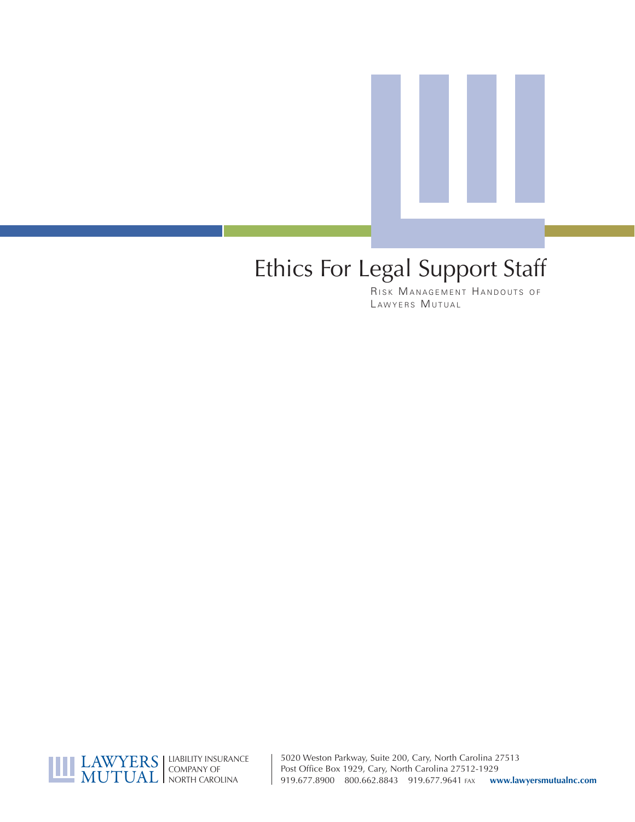

# Ethics For Legal Support Staff

RISK MANAGEMENT HANDOUTS OF LAWYERS MUTUAL



5020 Weston Parkway, Suite 200, Cary, North Carolina 27513 Post Office Box 1929, Cary, North Carolina 27512-1929 919.677.8900 800.662.8843 919.677.9641 FAX **www.lawyersmutualnc.com**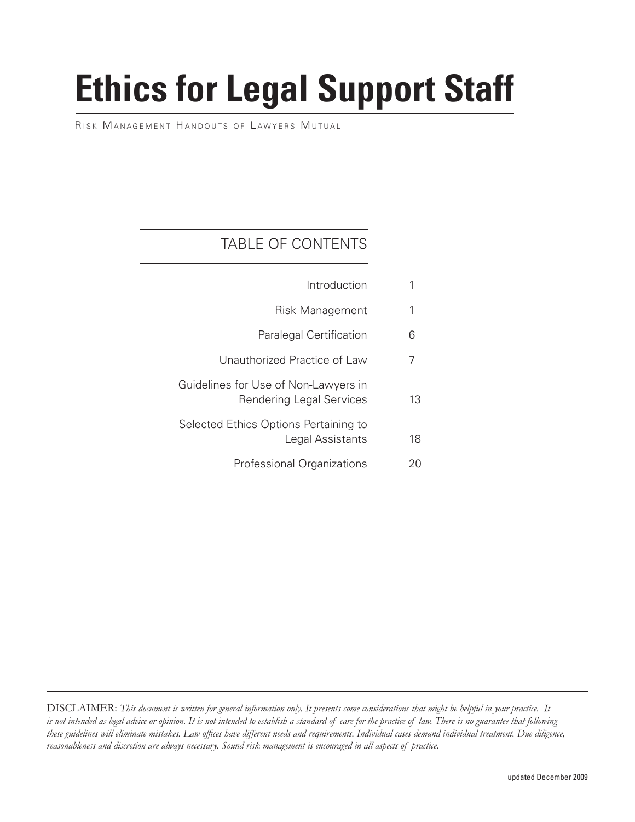# **Ethics for Legal Support Staff**

RISK MANAGEMENT HANDOUTS OF LAWYERS MUTUAL

### TABLE OF CONTENTS

|    | Introduction                                                     |
|----|------------------------------------------------------------------|
| 1  | Risk Management                                                  |
| 6  | <b>Paralegal Certification</b>                                   |
| 7  | Unauthorized Practice of Law                                     |
| 13 | Guidelines for Use of Non-Lawyers in<br>Rendering Legal Services |
| 18 | Selected Ethics Options Pertaining to<br>Legal Assistants        |
| 20 | Professional Organizations                                       |

 DISCLAIMER: *This document is written for general information only. It presents some considerations that might be helpful in your practice. It is not intended as legal advice or opinion. It is not intended to establish a standard of care for the practice of law. There is no guarantee that following*  these guidelines will eliminate mistakes. Law offices have different needs and requirements. Individual cases demand individual treatment. Due diligence, *reasonableness and discretion are always necessary. Sound risk management is encouraged in all aspects of practice.*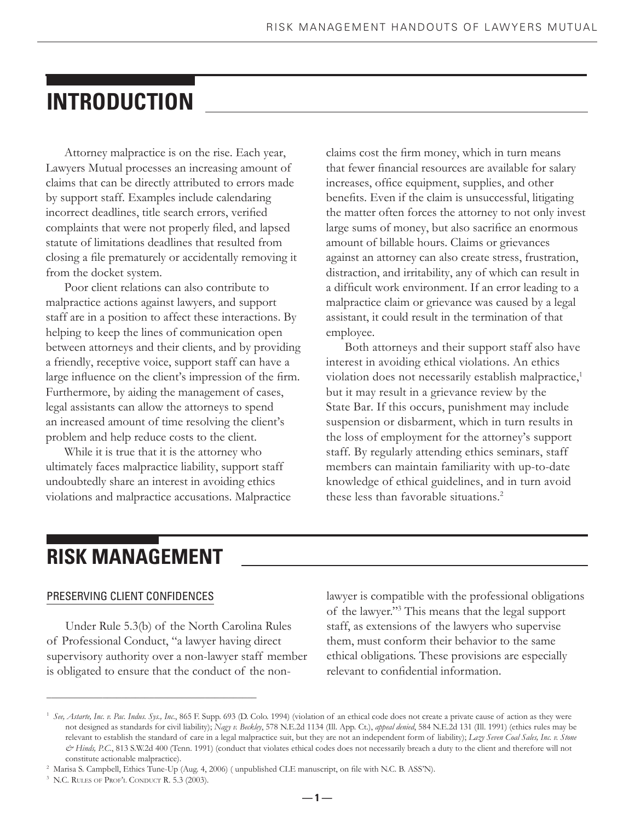# **INTRODUCTION**

 Attorney malpractice is on the rise. Each year, Lawyers Mutual processes an increasing amount of claims that can be directly attributed to errors made by support staff. Examples include calendaring incorrect deadlines, title search errors, verified complaints that were not properly filed, and lapsed statute of limitations deadlines that resulted from closing a file prematurely or accidentally removing it from the docket system.

 Poor client relations can also contribute to malpractice actions against lawyers, and support staff are in a position to affect these interactions. By helping to keep the lines of communication open between attorneys and their clients, and by providing a friendly, receptive voice, support staff can have a large influence on the client's impression of the firm. Furthermore, by aiding the management of cases, legal assistants can allow the attorneys to spend an increased amount of time resolving the client's problem and help reduce costs to the client.

 While it is true that it is the attorney who ultimately faces malpractice liability, support staff undoubtedly share an interest in avoiding ethics violations and malpractice accusations. Malpractice claims cost the firm money, which in turn means that fewer financial resources are available for salary increases, office equipment, supplies, and other benefits. Even if the claim is unsuccessful, litigating the matter often forces the attorney to not only invest large sums of money, but also sacrifice an enormous amount of billable hours. Claims or grievances against an attorney can also create stress, frustration, distraction, and irritability, any of which can result in a difficult work environment. If an error leading to a malpractice claim or grievance was caused by a legal assistant, it could result in the termination of that employee.

 Both attorneys and their support staff also have interest in avoiding ethical violations. An ethics violation does not necessarily establish malpractice,<sup>1</sup> but it may result in a grievance review by the State Bar. If this occurs, punishment may include suspension or disbarment, which in turn results in the loss of employment for the attorney's support staff. By regularly attending ethics seminars, staff members can maintain familiarity with up-to-date knowledge of ethical guidelines, and in turn avoid these less than favorable situations.2

# **RISK MANAGEMENT**

#### PRESERVING CLIENT CONFIDENCES

 Under Rule 5.3(b) of the North Carolina Rules of Professional Conduct, "a lawyer having direct supervisory authority over a non-lawyer staff member is obligated to ensure that the conduct of the non-

\_\_\_\_\_\_\_\_\_\_\_\_\_\_\_\_\_\_\_\_\_\_\_\_\_\_\_\_\_\_\_\_\_\_\_\_\_\_\_\_\_\_\_\_\_

lawyer is compatible with the professional obligations of the lawyer."3 This means that the legal support staff, as extensions of the lawyers who supervise them, must conform their behavior to the same ethical obligations. These provisions are especially relevant to confidential information.

 **— 1 —**

<sup>&</sup>lt;sup>1</sup> See, Astarte, Inc. v. Pac. Indus. Sys., Inc., 865 F. Supp. 693 (D. Colo. 1994) (violation of an ethical code does not create a private cause of action as they were not designed as standards for civil liability); *Nagy v. Beckley*, 578 N.E.2d 1134 (Ill. App. Ct.), *appeal denied*, 584 N.E.2d 131 (Ill. 1991) (ethics rules may be relevant to establish the standard of care in a legal malpractice suit, but they are not an independent form of liability); *Lazy Seven Coal Sales, Inc. v. Stone*   $\mathcal O$  Hinds, P.C., 813 S.W.2d 400 (Tenn. 1991) (conduct that violates ethical codes does not necessarily breach a duty to the client and therefore will not constitute actionable malpractice).

<sup>&</sup>lt;sup>2</sup> Marisa S. Campbell, Ethics Tune-Up (Aug. 4, 2006) (unpublished CLE manuscript, on file with N.C. B. ASS'N).

<sup>3</sup> N.C. RULES OF PROF'L CONDUCT R. 5.3 (2003).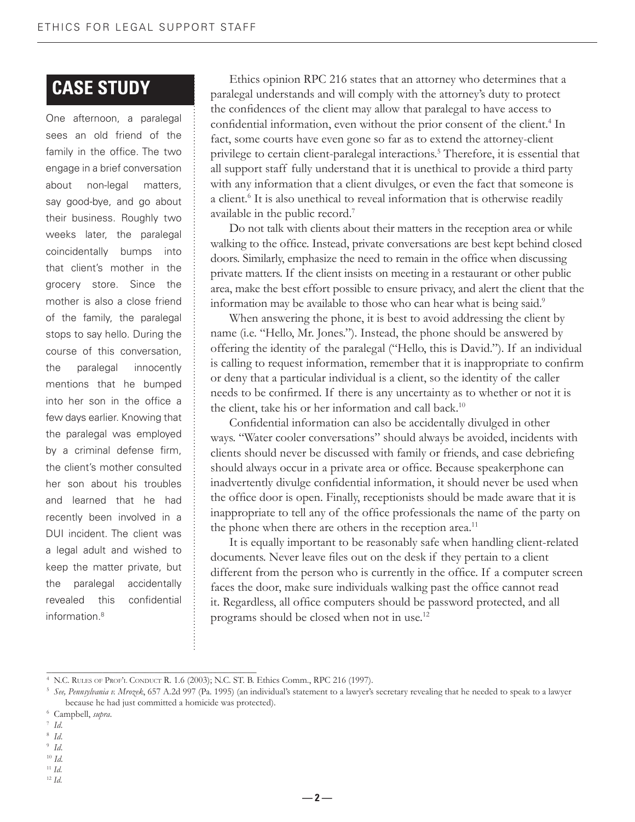### **CASE STUDY**

One afternoon, a paralegal sees an old friend of the family in the office. The two engage in a brief conversation about non-legal matters, say good-bye, and go about their business. Roughly two weeks later, the paralegal coincidentally bumps into that client's mother in the grocery store. Since the mother is also a close friend of the family, the paralegal stops to say hello. During the course of this conversation, the paralegal innocently mentions that he bumped into her son in the office a few days earlier. Knowing that the paralegal was employed by a criminal defense firm, the client's mother consulted her son about his troubles and learned that he had recently been involved in a DUI incident. The client was a legal adult and wished to keep the matter private, but the paralegal accidentally revealed this confidential information.8

 Ethics opinion RPC 216 states that an attorney who determines that a paralegal understands and will comply with the attorney's duty to protect the confidences of the client may allow that paralegal to have access to confidential information, even without the prior consent of the client.<sup>4</sup> In fact, some courts have even gone so far as to extend the attorney-client privilege to certain client-paralegal interactions.<sup>5</sup> Therefore, it is essential that all support staff fully understand that it is unethical to provide a third party with any information that a client divulges, or even the fact that someone is a client.<sup>6</sup> It is also unethical to reveal information that is otherwise readily available in the public record.7

 Do not talk with clients about their matters in the reception area or while walking to the office. Instead, private conversations are best kept behind closed doors. Similarly, emphasize the need to remain in the office when discussing private matters. If the client insists on meeting in a restaurant or other public area, make the best effort possible to ensure privacy, and alert the client that the information may be available to those who can hear what is being said.<sup>9</sup>

 When answering the phone, it is best to avoid addressing the client by name (i.e. "Hello, Mr. Jones."). Instead, the phone should be answered by offering the identity of the paralegal ("Hello, this is David."). If an individual is calling to request information, remember that it is inappropriate to confirm or deny that a particular individual is a client, so the identity of the caller needs to be confirmed. If there is any uncertainty as to whether or not it is the client, take his or her information and call back.<sup>10</sup>

Confidential information can also be accidentally divulged in other ways. "Water cooler conversations" should always be avoided, incidents with clients should never be discussed with family or friends, and case debriefing should always occur in a private area or office. Because speakerphone can inadvertently divulge confidential information, it should never be used when the office door is open. Finally, receptionists should be made aware that it is inappropriate to tell any of the office professionals the name of the party on the phone when there are others in the reception area.<sup>11</sup>

 It is equally important to be reasonably safe when handling client-related documents. Never leave files out on the desk if they pertain to a client different from the person who is currently in the office. If a computer screen faces the door, make sure individuals walking past the office cannot read it. Regardless, all office computers should be password protected, and all programs should be closed when not in use.12

\_\_\_\_\_\_\_\_\_\_\_\_\_\_\_\_\_\_\_\_\_\_\_\_\_\_\_\_\_\_\_\_\_\_\_\_\_\_\_\_\_\_\_\_\_

 **— 2 —**

- 8 *Id*.
- 9 *Id*.

<sup>10</sup> *Id*.

- <sup>11</sup> *Id*.
- <sup>12</sup> *Id*.

<sup>4</sup> N.C. RULES OF PROF'L CONDUCT R. 1.6 (2003); N.C. ST. B. Ethics Comm., RPC 216 (1997).

<sup>5</sup> *See, Pennsylvania v. Mrozek*, 657 A.2d 997 (Pa. 1995) (an individual's statement to a lawyer's secretary revealing that he needed to speak to a lawyer because he had just committed a homicide was protected).

<sup>6</sup> Campbell, *supra*.

<sup>7</sup> *Id*.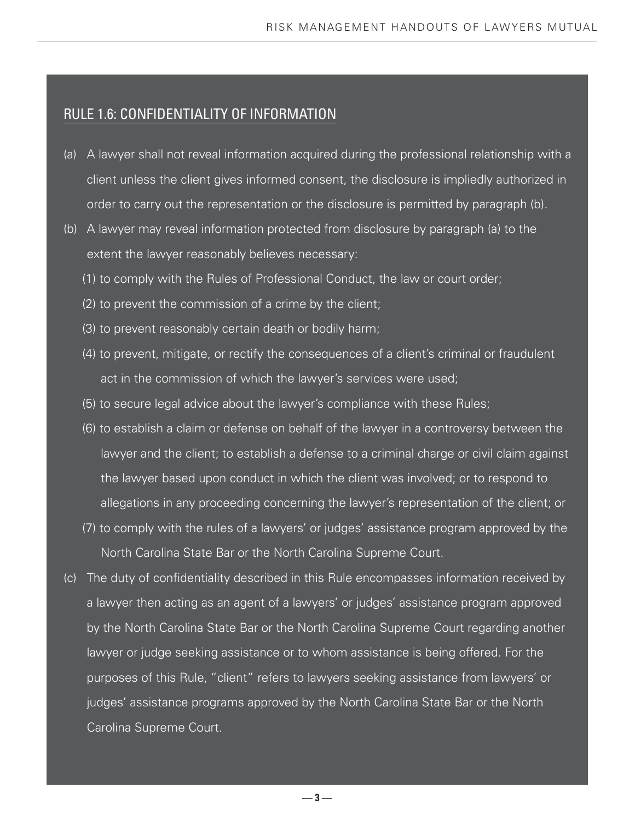#### RULE 1.6: CONFIDENTIALITY OF INFORMATION

- (a) A lawyer shall not reveal information acquired during the professional relationship with a client unless the client gives informed consent, the disclosure is impliedly authorized in order to carry out the representation or the disclosure is permitted by paragraph (b).
- (b) A lawyer may reveal information protected from disclosure by paragraph (a) to the extent the lawyer reasonably believes necessary:
	- (1) to comply with the Rules of Professional Conduct, the law or court order;
	- (2) to prevent the commission of a crime by the client;
	- (3) to prevent reasonably certain death or bodily harm;
	- (4) to prevent, mitigate, or rectify the consequences of a client's criminal or fraudulent act in the commission of which the lawyer's services were used;
	- (5) to secure legal advice about the lawyer's compliance with these Rules;
	- (6) to establish a claim or defense on behalf of the lawyer in a controversy between the lawyer and the client; to establish a defense to a criminal charge or civil claim against the lawyer based upon conduct in which the client was involved; or to respond to allegations in any proceeding concerning the lawyer's representation of the client; or
	- (7) to comply with the rules of a lawyers' or judges' assistance program approved by the North Carolina State Bar or the North Carolina Supreme Court.
- (c) The duty of confidentiality described in this Rule encompasses information received by a lawyer then acting as an agent of a lawyers' or judges' assistance program approved by the North Carolina State Bar or the North Carolina Supreme Court regarding another lawyer or judge seeking assistance or to whom assistance is being offered. For the purposes of this Rule, "client" refers to lawyers seeking assistance from lawyers' or judges' assistance programs approved by the North Carolina State Bar or the North Carolina Supreme Court.

 **— 3 —**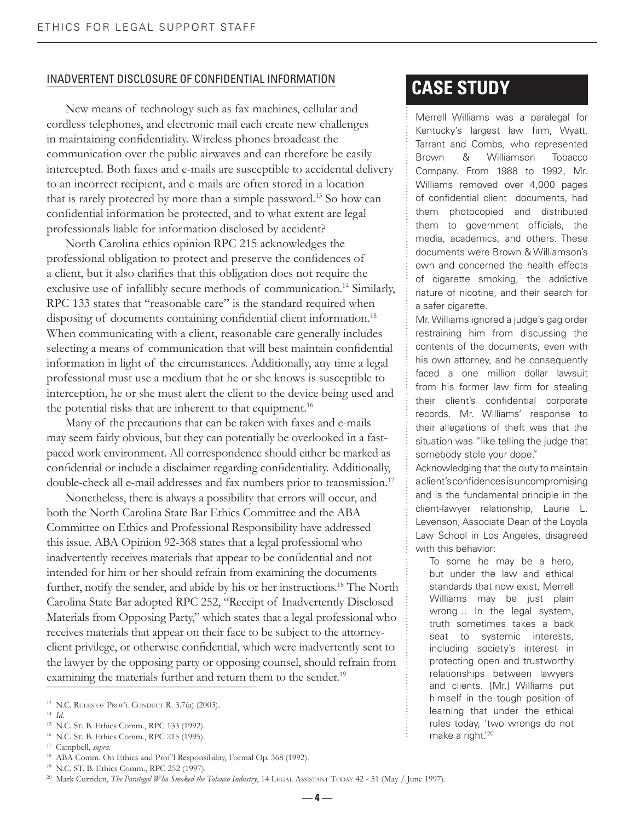#### INADVERTENT DISCLOSURE OF CONFIDENTIAL INFORMATION

 New means of technology such as fax machines, cellular and cordless telephones, and electronic mail each create new challenges in maintaining confidentiality. Wireless phones broadcast the communication over the public airwaves and can therefore be easily intercepted. Both faxes and e-mails are susceptible to accidental delivery to an incorrect recipient, and e-mails are often stored in a location that is rarely protected by more than a simple password.13 So how can confidential information be protected, and to what extent are legal professionals liable for information disclosed by accident?

 North Carolina ethics opinion RPC 215 acknowledges the professional obligation to protect and preserve the confidences of a client, but it also clarifies that this obligation does not require the exclusive use of infallibly secure methods of communication.<sup>14</sup> Similarly, RPC 133 states that "reasonable care" is the standard required when disposing of documents containing confidential client information.<sup>15</sup> When communicating with a client, reasonable care generally includes selecting a means of communication that will best maintain confidential information in light of the circumstances. Additionally, any time a legal professional must use a medium that he or she knows is susceptible to interception, he or she must alert the client to the device being used and the potential risks that are inherent to that equipment.<sup>16</sup>

 Many of the precautions that can be taken with faxes and e-mails may seem fairly obvious, but they can potentially be overlooked in a fastpaced work environment. All correspondence should either be marked as confidential or include a disclaimer regarding confidentiality. Additionally, double-check all e-mail addresses and fax numbers prior to transmission.<sup>17</sup>

 Nonetheless, there is always a possibility that errors will occur, and both the North Carolina State Bar Ethics Committee and the ABA Committee on Ethics and Professional Responsibility have addressed this issue. ABA Opinion 92-368 states that a legal professional who inadvertently receives materials that appear to be confidential and not intended for him or her should refrain from examining the documents further, notify the sender, and abide by his or her instructions.<sup>18</sup> The North Carolina State Bar adopted RPC 252, "Receipt of Inadvertently Disclosed Materials from Opposing Party," which states that a legal professional who receives materials that appear on their face to be subject to the attorneyclient privilege, or otherwise confidential, which were inadvertently sent to the lawyer by the opposing party or opposing counsel, should refrain from examining the materials further and return them to the sender.<sup>19</sup>

16 N.C. ST. B. Ethics Comm., RPC 215 (1995).

## **CASE STUDY**

Merrell Williams was a paralegal for Kentucky's largest law firm, Wyatt, Tarrant and Combs, who represented Brown & Williamson Tobacco Company. From 1988 to 1992, Mr. Williams removed over 4,000 pages of confidential client documents, had them photocopied and distributed them to government officials, the media, academics, and others. These documents were Brown & Williamson's own and concerned the health effects of cigarette smoking, the addictive nature of nicotine, and their search for a safer cigarette.

Mr. Williams ignored a judge's gag order restraining him from discussing the contents of the documents, even with his own attorney, and he consequently faced a one million dollar lawsuit from his former law firm for stealing their client's confidential corporate records. Mr. Williams' response to their allegations of theft was that the situation was "like telling the judge that somebody stole your dope."

Acknowledging that the duty to maintain a client's confidences is uncompromising and is the fundamental principle in the client-lawyer relationship, Laurie L. Levenson, Associate Dean of the Loyola Law School in Los Angeles, disagreed with this behavior:

To some he may be a hero, but under the law and ethical standards that now exist, Merrell Williams may be just plain wrong… In the legal system, truth sometimes takes a back seat to systemic interests, including society's interest in protecting open and trustworthy relationships between lawyers and clients. [Mr.] Williams put himself in the tough position of learning that under the ethical rules today, 'two wrongs do not make a right.'20

<sup>13</sup> N.C. RULES OF PROF'L CONDUCT R. 3.7(a) (2003).

<sup>14</sup> *Id*.

<sup>15</sup> N.C. ST. B. Ethics Comm., RPC 133 (1992).

<sup>17</sup> Campbell, *supra*.

<sup>&</sup>lt;sup>18</sup> ABA Comm. On Ethics and Prof'l Responsibility, Formal Op. 368 (1992).

<sup>19</sup> N.C. ST. B. Ethics Comm., RPC 252 (1997).

<sup>&</sup>lt;sup>20</sup> Mark Curriden, *The Paralegal Who Smoked the Tobacco Industry*, 14 LEGAL ASSISTANT TODAY 42 - 51 (May / June 1997).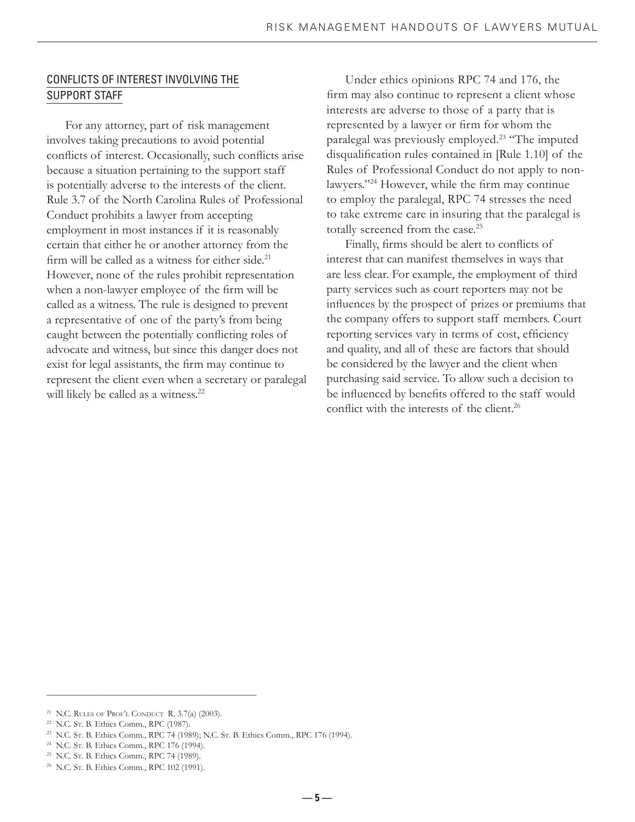#### CONFLICTS OF INTEREST INVOLVING THE SUPPORT STAFF

 For any attorney, part of risk management involves taking precautions to avoid potential conflicts of interest. Occasionally, such conflicts arise because a situation pertaining to the support staff is potentially adverse to the interests of the client. Rule 3.7 of the North Carolina Rules of Professional Conduct prohibits a lawyer from accepting employment in most instances if it is reasonably certain that either he or another attorney from the firm will be called as a witness for either side.<sup>21</sup> However, none of the rules prohibit representation when a non-lawyer employee of the firm will be called as a witness. The rule is designed to prevent a representative of one of the party's from being caught between the potentially conflicting roles of advocate and witness, but since this danger does not exist for legal assistants, the firm may continue to represent the client even when a secretary or paralegal will likely be called as a witness.<sup>22</sup>

 Under ethics opinions RPC 74 and 176, the firm may also continue to represent a client whose interests are adverse to those of a party that is represented by a lawyer or firm for whom the paralegal was previously employed.23 "The imputed disqualification rules contained in [Rule 1.10] of the Rules of Professional Conduct do not apply to nonlawyers."<sup>24</sup> However, while the firm may continue to employ the paralegal, RPC 74 stresses the need to take extreme care in insuring that the paralegal is totally screened from the case.<sup>25</sup>

Finally, firms should be alert to conflicts of interest that can manifest themselves in ways that are less clear. For example, the employment of third party services such as court reporters may not be influences by the prospect of prizes or premiums that the company offers to support staff members. Court reporting services vary in terms of cost, efficiency and quality, and all of these are factors that should be considered by the lawyer and the client when purchasing said service. To allow such a decision to be influenced by benefits offered to the staff would conflict with the interests of the client.<sup>26</sup>

\_\_\_\_\_\_\_\_\_\_\_\_\_\_\_\_\_\_\_\_\_\_\_\_\_\_\_\_\_\_\_\_\_\_\_\_\_\_\_\_\_\_\_\_\_

<sup>&</sup>lt;sup>21</sup> N.C. RULES OF PROF'L CONDUCT R.  $3.7(a)$  (2003).

<sup>22</sup> N.C. ST. B. Ethics Comm., RPC (1987).

<sup>&</sup>lt;sup>23</sup> N.C. Sr. B. Ethics Comm., RPC 74 (1989); N.C. Sr. B. Ethics Comm., RPC 176 (1994).

<sup>24</sup> N.C. ST. B. Ethics Comm., RPC 176 (1994).

<sup>25</sup> N.C. ST. B. Ethics Comm., RPC 74 (1989).

<sup>&</sup>lt;sup>26</sup> N.C. St. B. Ethics Comm., RPC 102 (1991).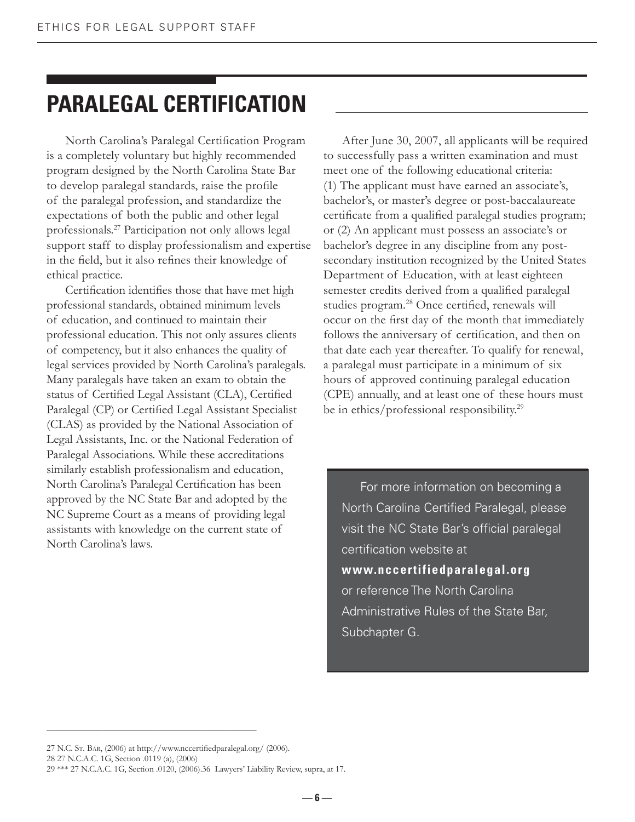# **PARALEGAL CERTIFICATION**

North Carolina's Paralegal Certification Program is a completely voluntary but highly recommended program designed by the North Carolina State Bar to develop paralegal standards, raise the profile of the paralegal profession, and standardize the expectations of both the public and other legal professionals.27 Participation not only allows legal support staff to display professionalism and expertise in the field, but it also refines their knowledge of ethical practice.

Certification identifies those that have met high professional standards, obtained minimum levels of education, and continued to maintain their professional education. This not only assures clients of competency, but it also enhances the quality of legal services provided by North Carolina's paralegals. Many paralegals have taken an exam to obtain the status of Certified Legal Assistant (CLA), Certified Paralegal (CP) or Certified Legal Assistant Specialist (CLAS) as provided by the National Association of Legal Assistants, Inc. or the National Federation of Paralegal Associations. While these accreditations similarly establish professionalism and education, North Carolina's Paralegal Certification has been approved by the NC State Bar and adopted by the NC Supreme Court as a means of providing legal assistants with knowledge on the current state of North Carolina's laws.

 After June 30, 2007, all applicants will be required to successfully pass a written examination and must meet one of the following educational criteria: (1) The applicant must have earned an associate's, bachelor's, or master's degree or post-baccalaureate certificate from a qualified paralegal studies program; or (2) An applicant must possess an associate's or bachelor's degree in any discipline from any postsecondary institution recognized by the United States Department of Education, with at least eighteen semester credits derived from a qualified paralegal studies program.<sup>28</sup> Once certified, renewals will occur on the first day of the month that immediately follows the anniversary of certification, and then on that date each year thereafter. To qualify for renewal, a paralegal must participate in a minimum of six hours of approved continuing paralegal education (CPE) annually, and at least one of these hours must be in ethics/professional responsibility.<sup>29</sup>

 For more information on becoming a North Carolina Certified Paralegal, please visit the NC State Bar's official paralegal certification website at **www.nccertifiedparalegal.org**  or reference The North Carolina Administrative Rules of the State Bar, Subchapter G.

27 N.C. Sr. BAR, (2006) at http://www.nccertifiedparalegal.org/ (2006).

\_\_\_\_\_\_\_\_\_\_\_\_\_\_\_\_\_\_\_\_\_\_\_\_\_\_\_\_\_\_\_\_\_\_\_\_\_\_\_\_\_\_\_\_\_

28 27 N.C.A.C. 1G, Section .0119 (a), (2006)

<sup>29 \*\*\* 27</sup> N.C.A.C. 1G, Section .0120, (2006).36 Lawyers' Liability Review, supra, at 17.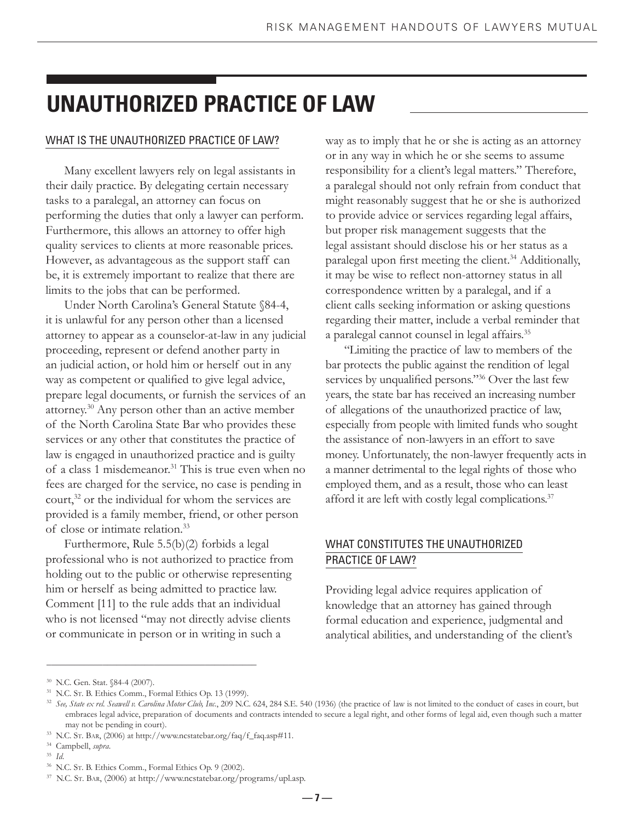# **UNAUTHORIZED PRACTICE OF LAW**

#### WHAT IS THE UNAUTHORIZED PRACTICE OF LAW?

 Many excellent lawyers rely on legal assistants in their daily practice. By delegating certain necessary tasks to a paralegal, an attorney can focus on performing the duties that only a lawyer can perform. Furthermore, this allows an attorney to offer high quality services to clients at more reasonable prices. However, as advantageous as the support staff can be, it is extremely important to realize that there are limits to the jobs that can be performed.

 Under North Carolina's General Statute §84-4, it is unlawful for any person other than a licensed attorney to appear as a counselor-at-law in any judicial proceeding, represent or defend another party in an judicial action, or hold him or herself out in any way as competent or qualified to give legal advice, prepare legal documents, or furnish the services of an attorney.30 Any person other than an active member of the North Carolina State Bar who provides these services or any other that constitutes the practice of law is engaged in unauthorized practice and is guilty of a class 1 misdemeanor.<sup>31</sup> This is true even when no fees are charged for the service, no case is pending in court, $32$  or the individual for whom the services are provided is a family member, friend, or other person of close or intimate relation.33

 Furthermore, Rule 5.5(b)(2) forbids a legal professional who is not authorized to practice from holding out to the public or otherwise representing him or herself as being admitted to practice law. Comment [11] to the rule adds that an individual who is not licensed "may not directly advise clients or communicate in person or in writing in such a

way as to imply that he or she is acting as an attorney or in any way in which he or she seems to assume responsibility for a client's legal matters." Therefore, a paralegal should not only refrain from conduct that might reasonably suggest that he or she is authorized to provide advice or services regarding legal affairs, but proper risk management suggests that the legal assistant should disclose his or her status as a paralegal upon first meeting the client.<sup>34</sup> Additionally, it may be wise to reflect non-attorney status in all correspondence written by a paralegal, and if a client calls seeking information or asking questions regarding their matter, include a verbal reminder that a paralegal cannot counsel in legal affairs.<sup>35</sup>

 "Limiting the practice of law to members of the bar protects the public against the rendition of legal services by unqualified persons."<sup>36</sup> Over the last few years, the state bar has received an increasing number of allegations of the unauthorized practice of law, especially from people with limited funds who sought the assistance of non-lawyers in an effort to save money. Unfortunately, the non-lawyer frequently acts in a manner detrimental to the legal rights of those who employed them, and as a result, those who can least afford it are left with costly legal complications.<sup>37</sup>

#### WHAT CONSTITUTES THE UNAUTHORIZED PRACTICE OF LAW?

Providing legal advice requires application of knowledge that an attorney has gained through formal education and experience, judgmental and analytical abilities, and understanding of the client's

\_\_\_\_\_\_\_\_\_\_\_\_\_\_\_\_\_\_\_\_\_\_\_\_\_\_\_\_\_\_\_\_\_\_\_\_\_\_\_\_\_\_\_\_\_

<sup>30</sup> N.C. Gen. Stat. §84-4 (2007).

<sup>31</sup> N.C. ST. B. Ethics Comm., Formal Ethics Op. 13 (1999).

<sup>32</sup> *See, State ex rel. Seawell v. Carolina Motor Club, Inc.*, 209 N.C. 624, 284 S.E. 540 (1936) (the practice of law is not limited to the conduct of cases in court, but embraces legal advice, preparation of documents and contracts intended to secure a legal right, and other forms of legal aid, even though such a matter may not be pending in court).

 $^{33}$  N.C. Sr. Bar, (2006) at http://www.ncstatebar.org/faq/f\_faq.asp#11.

<sup>34</sup> Campbell, *supra*.

<sup>35</sup> *Id*.

<sup>36</sup> N.C. ST. B. Ethics Comm., Formal Ethics Op. 9 (2002).

<sup>37</sup> N.C. ST. BAR, (2006) at http://www.ncstatebar.org/programs/upl.asp.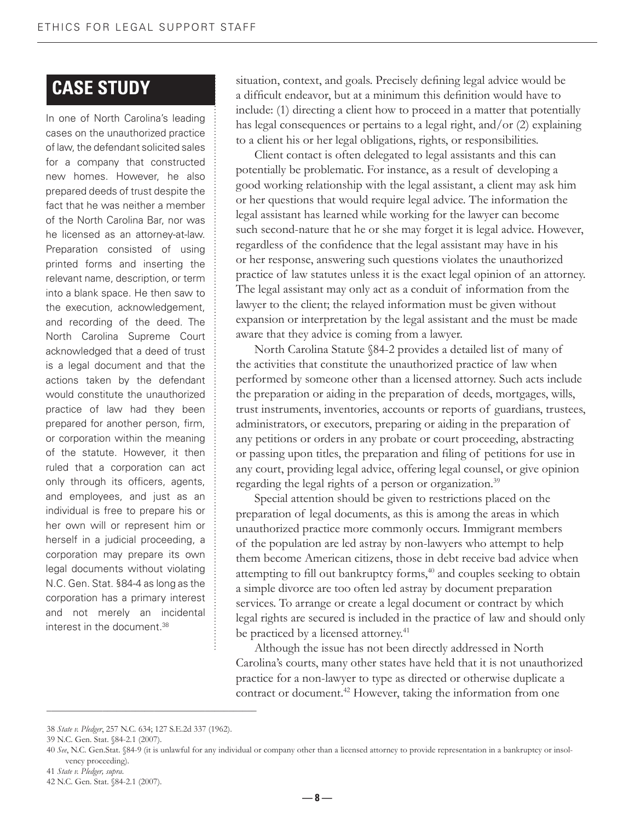### **CASE STUDY**

In one of North Carolina's leading cases on the unauthorized practice of law, the defendant solicited sales for a company that constructed new homes. However, he also prepared deeds of trust despite the fact that he was neither a member of the North Carolina Bar, nor was he licensed as an attorney-at-law. Preparation consisted of using printed forms and inserting the relevant name, description, or term into a blank space. He then saw to the execution, acknowledgement, and recording of the deed. The North Carolina Supreme Court acknowledged that a deed of trust is a legal document and that the actions taken by the defendant would constitute the unauthorized practice of law had they been prepared for another person, firm, or corporation within the meaning of the statute. However, it then ruled that a corporation can act only through its officers, agents, and employees, and just as an individual is free to prepare his or her own will or represent him or herself in a judicial proceeding, a corporation may prepare its own legal documents without violating N.C. Gen. Stat. §84-4 as long as the corporation has a primary interest and not merely an incidental interest in the document.38

situation, context, and goals. Precisely defining legal advice would be a difficult endeavor, but at a minimum this definition would have to include: (1) directing a client how to proceed in a matter that potentially has legal consequences or pertains to a legal right, and/or (2) explaining to a client his or her legal obligations, rights, or responsibilities.

 Client contact is often delegated to legal assistants and this can potentially be problematic. For instance, as a result of developing a good working relationship with the legal assistant, a client may ask him or her questions that would require legal advice. The information the legal assistant has learned while working for the lawyer can become such second-nature that he or she may forget it is legal advice. However, regardless of the confidence that the legal assistant may have in his or her response, answering such questions violates the unauthorized practice of law statutes unless it is the exact legal opinion of an attorney. The legal assistant may only act as a conduit of information from the lawyer to the client; the relayed information must be given without expansion or interpretation by the legal assistant and the must be made aware that they advice is coming from a lawyer.

 North Carolina Statute §84-2 provides a detailed list of many of the activities that constitute the unauthorized practice of law when performed by someone other than a licensed attorney. Such acts include the preparation or aiding in the preparation of deeds, mortgages, wills, trust instruments, inventories, accounts or reports of guardians, trustees, administrators, or executors, preparing or aiding in the preparation of any petitions or orders in any probate or court proceeding, abstracting or passing upon titles, the preparation and filing of petitions for use in any court, providing legal advice, offering legal counsel, or give opinion regarding the legal rights of a person or organization.<sup>39</sup>

 Special attention should be given to restrictions placed on the preparation of legal documents, as this is among the areas in which unauthorized practice more commonly occurs. Immigrant members of the population are led astray by non-lawyers who attempt to help them become American citizens, those in debt receive bad advice when attempting to fill out bankruptcy forms,<sup>40</sup> and couples seeking to obtain a simple divorce are too often led astray by document preparation services. To arrange or create a legal document or contract by which legal rights are secured is included in the practice of law and should only be practiced by a licensed attorney.<sup>41</sup>

 Although the issue has not been directly addressed in North Carolina's courts, many other states have held that it is not unauthorized practice for a non-lawyer to type as directed or otherwise duplicate a contract or document.<sup>42</sup> However, taking the information from one

\_\_\_\_\_\_\_\_\_\_\_\_\_\_\_\_\_\_\_\_\_\_\_\_\_\_\_\_\_\_\_\_\_\_\_\_\_\_\_\_\_\_\_\_\_

41 *State v. Pledger, supra*.

<sup>38</sup> *State v. Pledger*, 257 N.C. 634; 127 S.E.2d 337 (1962).

<sup>39</sup> N.C. Gen. Stat. §84-2.1 (2007).

<sup>40</sup> *See*, N.C. Gen.Stat. §84-9 (it is unlawful for any individual or company other than a licensed attorney to provide representation in a bankruptcy or insolvency proceeding).

<sup>42</sup> N.C. Gen. Stat. §84-2.1 (2007).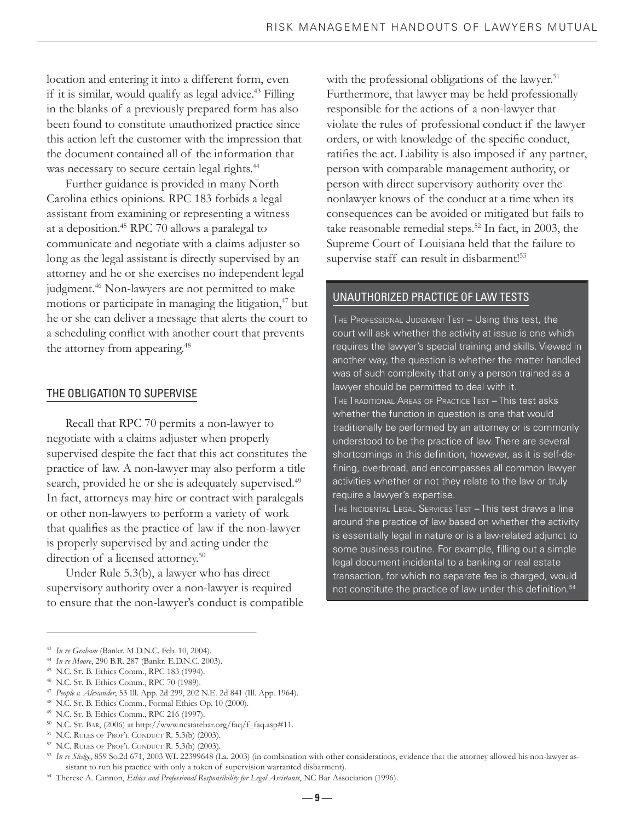location and entering it into a different form, even if it is similar, would qualify as legal advice.<sup>43</sup> Filling in the blanks of a previously prepared form has also been found to constitute unauthorized practice since this action left the customer with the impression that the document contained all of the information that was necessary to secure certain legal rights.<sup>44</sup>

 Further guidance is provided in many North Carolina ethics opinions. RPC 183 forbids a legal assistant from examining or representing a witness at a deposition.45 RPC 70 allows a paralegal to communicate and negotiate with a claims adjuster so long as the legal assistant is directly supervised by an attorney and he or she exercises no independent legal judgment.<sup>46</sup> Non-lawyers are not permitted to make motions or participate in managing the litigation,<sup>47</sup> but he or she can deliver a message that alerts the court to a scheduling conflict with another court that prevents the attorney from appearing.<sup>48</sup>

#### THE OBLIGATION TO SUPERVISE

 Recall that RPC 70 permits a non-lawyer to negotiate with a claims adjuster when properly supervised despite the fact that this act constitutes the practice of law. A non-lawyer may also perform a title search, provided he or she is adequately supervised.<sup>49</sup> In fact, attorneys may hire or contract with paralegals or other non-lawyers to perform a variety of work that qualifies as the practice of law if the non-lawyer is properly supervised by and acting under the direction of a licensed attorney.<sup>50</sup>

 Under Rule 5.3(b), a lawyer who has direct supervisory authority over a non-lawyer is required to ensure that the non-lawyer's conduct is compatible with the professional obligations of the lawyer.<sup>51</sup> Furthermore, that lawyer may be held professionally responsible for the actions of a non-lawyer that violate the rules of professional conduct if the lawyer orders, or with knowledge of the specific conduct, ratifies the act. Liability is also imposed if any partner, person with comparable management authority, or person with direct supervisory authority over the nonlawyer knows of the conduct at a time when its consequences can be avoided or mitigated but fails to take reasonable remedial steps.<sup>52</sup> In fact, in 2003, the Supreme Court of Louisiana held that the failure to supervise staff can result in disbarment!<sup>53</sup>

#### UNAUTHORIZED PRACTICE OF LAW TESTS

THE PROFESSIONAL JUDGMENT TEST – Using this test, the court will ask whether the activity at issue is one which requires the lawyer's special training and skills. Viewed in another way, the question is whether the matter handled was of such complexity that only a person trained as a lawyer should be permitted to deal with it. THE TRADITIONAL AREAS OF PRACTICE TEST – This test asks whether the function in question is one that would traditionally be performed by an attorney or is commonly understood to be the practice of law. There are several shortcomings in this definition, however, as it is self-defining, overbroad, and encompasses all common lawyer activities whether or not they relate to the law or truly require a lawyer's expertise.

THE INCIDENTAL LEGAL SERVICES TEST – This test draws a line around the practice of law based on whether the activity is essentially legal in nature or is a law-related adjunct to some business routine. For example, filling out a simple legal document incidental to a banking or real estate transaction, for which no separate fee is charged, would not constitute the practice of law under this definition.<sup>54</sup>

\_\_\_\_\_\_\_\_\_\_\_\_\_\_\_\_\_\_\_\_\_\_\_\_\_\_\_\_\_\_\_\_\_\_\_\_\_\_\_\_\_\_\_\_\_

<sup>43</sup> *In re Graham* (Bankr. M.D.N.C. Feb. 10, 2004).

<sup>44</sup> *In re Moore*, 290 B.R. 287 (Bankr. E.D.N.C. 2003).

<sup>45</sup> N.C. ST. B. Ethics Comm., RPC 183 (1994).

<sup>46</sup> N.C. ST. B. Ethics Comm., RPC 70 (1989).

<sup>47</sup>*People v. Alexander*, 53 Ill. App. 2d 299, 202 N.E. 2d 841 (Ill. App. 1964). 48 N.C. ST. B. Ethics Comm., Formal Ethics Op. 10 (2000).

<sup>49</sup> N.C. ST. B. Ethics Comm., RPC 216 (1997).

 $^{50}$  N.C. Sr. BAR, (2006) at http://www.ncstatebar.org/faq/f\_faq.asp#11.

<sup>51</sup> N.C. RULES OF PROF'L CONDUCT R. 5.3(b) (2003).

<sup>52</sup> N.C. RULES OF PROF'L CONDUCT R. 5.3(b) (2003).

<sup>53</sup> *In re Sledge*, 859 So.2d 671, 2003 WL 22399648 (La. 2003) (in combination with other considerations, evidence that the attorney allowed his non-lawyer assistant to run his practice with only a token of supervision warranted disbarment).

<sup>54</sup> Therese A. Cannon, *Ethics and Professional Responsibility for Legal Assistants*, NC Bar Association (1996).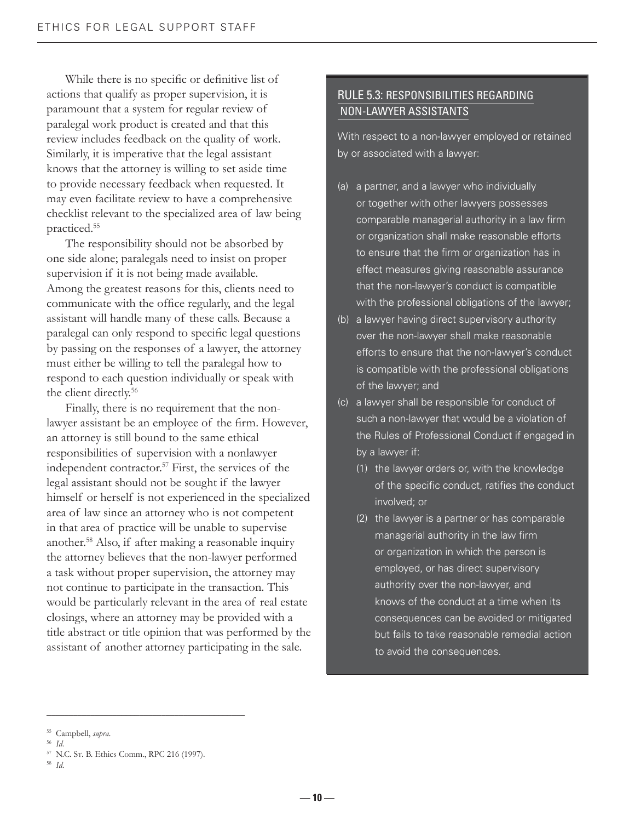While there is no specific or definitive list of actions that qualify as proper supervision, it is paramount that a system for regular review of paralegal work product is created and that this review includes feedback on the quality of work. Similarly, it is imperative that the legal assistant knows that the attorney is willing to set aside time to provide necessary feedback when requested. It may even facilitate review to have a comprehensive checklist relevant to the specialized area of law being practiced.55

 The responsibility should not be absorbed by one side alone; paralegals need to insist on proper supervision if it is not being made available. Among the greatest reasons for this, clients need to communicate with the office regularly, and the legal assistant will handle many of these calls. Because a paralegal can only respond to specific legal questions by passing on the responses of a lawyer, the attorney must either be willing to tell the paralegal how to respond to each question individually or speak with the client directly.<sup>56</sup>

 Finally, there is no requirement that the nonlawyer assistant be an employee of the firm. However, an attorney is still bound to the same ethical responsibilities of supervision with a nonlawyer independent contractor.57 First, the services of the legal assistant should not be sought if the lawyer himself or herself is not experienced in the specialized area of law since an attorney who is not competent in that area of practice will be unable to supervise another.58 Also, if after making a reasonable inquiry the attorney believes that the non-lawyer performed a task without proper supervision, the attorney may not continue to participate in the transaction. This would be particularly relevant in the area of real estate closings, where an attorney may be provided with a title abstract or title opinion that was performed by the assistant of another attorney participating in the sale.

#### RULE 5.3: RESPONSIBILITIES REGARDING NON-LAWYER ASSISTANTS

With respect to a non-lawyer employed or retained by or associated with a lawyer:

- (a) a partner, and a lawyer who individually or together with other lawyers possesses comparable managerial authority in a law firm or organization shall make reasonable efforts to ensure that the firm or organization has in effect measures giving reasonable assurance that the non-lawyer's conduct is compatible with the professional obligations of the lawyer;
- (b) a lawyer having direct supervisory authority over the non-lawyer shall make reasonable efforts to ensure that the non-lawyer's conduct is compatible with the professional obligations of the lawyer; and
- (c) a lawyer shall be responsible for conduct of such a non-lawyer that would be a violation of the Rules of Professional Conduct if engaged in by a lawyer if:
	- (1) the lawyer orders or, with the knowledge of the specific conduct, ratifies the conduct involved; or
	- (2) the lawyer is a partner or has comparable managerial authority in the law firm or organization in which the person is employed, or has direct supervisory authority over the non-lawyer, and knows of the conduct at a time when its consequences can be avoided or mitigated but fails to take reasonable remedial action to avoid the consequences.

\_\_\_\_\_\_\_\_\_\_\_\_\_\_\_\_\_\_\_\_\_\_\_\_\_\_\_\_\_\_\_\_\_\_\_\_\_\_\_\_\_\_\_\_\_

<sup>55</sup> Campbell, *supra*.

<sup>56</sup> *Id*.

<sup>57</sup> N.C. ST. B. Ethics Comm., RPC 216 (1997).

<sup>58</sup> *Id*.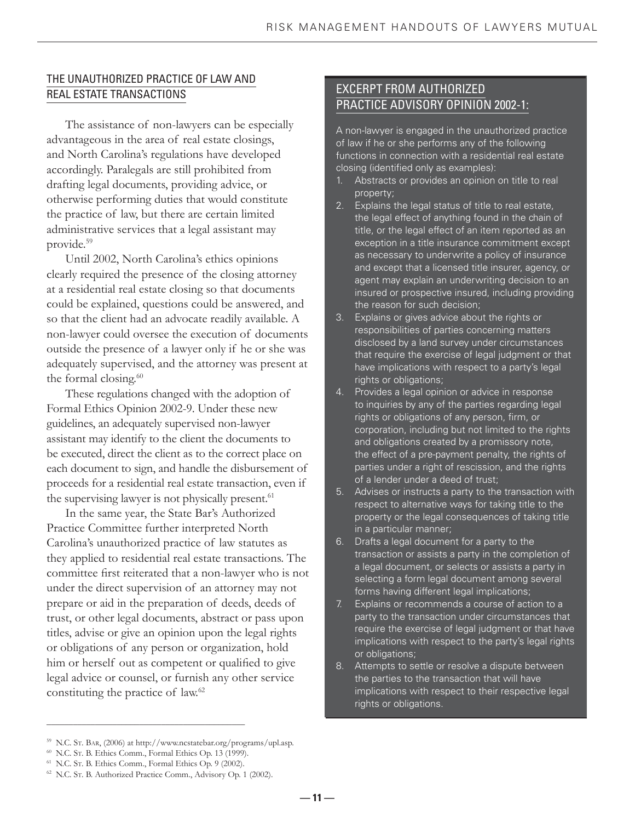#### THE UNAUTHORIZED PRACTICE OF LAW AND REAL ESTATE TRANSACTIONS

 The assistance of non-lawyers can be especially advantageous in the area of real estate closings, and North Carolina's regulations have developed accordingly. Paralegals are still prohibited from drafting legal documents, providing advice, or otherwise performing duties that would constitute the practice of law, but there are certain limited administrative services that a legal assistant may provide.59

 Until 2002, North Carolina's ethics opinions clearly required the presence of the closing attorney at a residential real estate closing so that documents could be explained, questions could be answered, and so that the client had an advocate readily available. A non-lawyer could oversee the execution of documents outside the presence of a lawyer only if he or she was adequately supervised, and the attorney was present at the formal closing.<sup>60</sup>

 These regulations changed with the adoption of Formal Ethics Opinion 2002-9. Under these new guidelines, an adequately supervised non-lawyer assistant may identify to the client the documents to be executed, direct the client as to the correct place on each document to sign, and handle the disbursement of proceeds for a residential real estate transaction, even if the supervising lawyer is not physically present.<sup>61</sup>

 In the same year, the State Bar's Authorized Practice Committee further interpreted North Carolina's unauthorized practice of law statutes as they applied to residential real estate transactions. The committee first reiterated that a non-lawyer who is not under the direct supervision of an attorney may not prepare or aid in the preparation of deeds, deeds of trust, or other legal documents, abstract or pass upon titles, advise or give an opinion upon the legal rights or obligations of any person or organization, hold him or herself out as competent or qualified to give legal advice or counsel, or furnish any other service constituting the practice of law.<sup>62</sup>

#### EXCERPT FROM AUTHORIZED PRACTICE ADVISORY OPINION 2002-1:

A non-lawyer is engaged in the unauthorized practice of law if he or she performs any of the following functions in connection with a residential real estate closing (identified only as examples):

- 1. Abstracts or provides an opinion on title to real property;
- 2. Explains the legal status of title to real estate, the legal effect of anything found in the chain of title, or the legal effect of an item reported as an exception in a title insurance commitment except as necessary to underwrite a policy of insurance and except that a licensed title insurer, agency, or agent may explain an underwriting decision to an insured or prospective insured, including providing the reason for such decision;
- 3. Explains or gives advice about the rights or responsibilities of parties concerning matters disclosed by a land survey under circumstances that require the exercise of legal judgment or that have implications with respect to a party's legal rights or obligations;
- 4. Provides a legal opinion or advice in response to inquiries by any of the parties regarding legal rights or obligations of any person, firm, or corporation, including but not limited to the rights and obligations created by a promissory note, the effect of a pre-payment penalty, the rights of parties under a right of rescission, and the rights of a lender under a deed of trust;
- 5. Advises or instructs a party to the transaction with respect to alternative ways for taking title to the property or the legal consequences of taking title in a particular manner;
- 6. Drafts a legal document for a party to the transaction or assists a party in the completion of a legal document, or selects or assists a party in selecting a form legal document among several forms having different legal implications;
- 7. Explains or recommends a course of action to a party to the transaction under circumstances that require the exercise of legal judgment or that have implications with respect to the party's legal rights or obligations;
- 8. Attempts to settle or resolve a dispute between the parties to the transaction that will have implications with respect to their respective legal rights or obligations.

\_\_\_\_\_\_\_\_\_\_\_\_\_\_\_\_\_\_\_\_\_\_\_\_\_\_\_\_\_\_\_\_\_\_\_\_\_\_\_\_\_\_\_\_\_

 **— 11 —**

<sup>59</sup> N.C. ST. BAR, (2006) at http://www.ncstatebar.org/programs/upl.asp.

<sup>60</sup> N.C. ST. B. Ethics Comm., Formal Ethics Op. 13 (1999).

<sup>61</sup> N.C. ST. B. Ethics Comm., Formal Ethics Op. 9 (2002).

<sup>62</sup> N.C. ST. B. Authorized Practice Comm., Advisory Op. 1 (2002).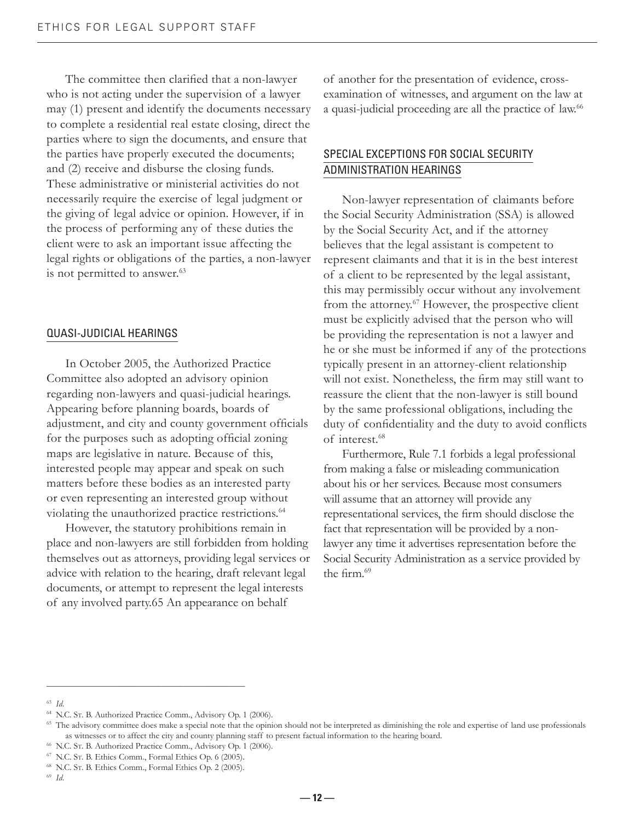The committee then clarified that a non-lawyer who is not acting under the supervision of a lawyer may (1) present and identify the documents necessary to complete a residential real estate closing, direct the parties where to sign the documents, and ensure that the parties have properly executed the documents; and (2) receive and disburse the closing funds. These administrative or ministerial activities do not necessarily require the exercise of legal judgment or the giving of legal advice or opinion. However, if in the process of performing any of these duties the client were to ask an important issue affecting the legal rights or obligations of the parties, a non-lawyer is not permitted to answer.<sup>63</sup>

#### QUASI-JUDICIAL HEARINGS

 In October 2005, the Authorized Practice Committee also adopted an advisory opinion regarding non-lawyers and quasi-judicial hearings. Appearing before planning boards, boards of adjustment, and city and county government officials for the purposes such as adopting official zoning maps are legislative in nature. Because of this, interested people may appear and speak on such matters before these bodies as an interested party or even representing an interested group without violating the unauthorized practice restrictions.<sup>64</sup>

 However, the statutory prohibitions remain in place and non-lawyers are still forbidden from holding themselves out as attorneys, providing legal services or advice with relation to the hearing, draft relevant legal documents, or attempt to represent the legal interests of any involved party.65 An appearance on behalf

of another for the presentation of evidence, crossexamination of witnesses, and argument on the law at a quasi-judicial proceeding are all the practice of law.<sup>66</sup>

#### SPECIAL EXCEPTIONS FOR SOCIAL SECURITY ADMINISTRATION HEARINGS

 Non-lawyer representation of claimants before the Social Security Administration (SSA) is allowed by the Social Security Act, and if the attorney believes that the legal assistant is competent to represent claimants and that it is in the best interest of a client to be represented by the legal assistant, this may permissibly occur without any involvement from the attorney.<sup>67</sup> However, the prospective client must be explicitly advised that the person who will be providing the representation is not a lawyer and he or she must be informed if any of the protections typically present in an attorney-client relationship will not exist. Nonetheless, the firm may still want to reassure the client that the non-lawyer is still bound by the same professional obligations, including the duty of confidentiality and the duty to avoid conflicts of interest.68

 Furthermore, Rule 7.1 forbids a legal professional from making a false or misleading communication about his or her services. Because most consumers will assume that an attorney will provide any representational services, the firm should disclose the fact that representation will be provided by a nonlawyer any time it advertises representation before the Social Security Administration as a service provided by the firm.<sup>69</sup>

 $\_$ 

<sup>63</sup> *Id*.

<sup>64</sup> N.C. ST. B. Authorized Practice Comm., Advisory Op. 1 (2006).

<sup>&</sup>lt;sup>65</sup> The advisory committee does make a special note that the opinion should not be interpreted as diminishing the role and expertise of land use professionals as witnesses or to affect the city and county planning staff to present factual information to the hearing board.

<sup>66</sup> N.C. ST. B. Authorized Practice Comm., Advisory Op. 1 (2006).

<sup>67</sup> N.C. ST. B. Ethics Comm., Formal Ethics Op. 6 (2005).

<sup>68</sup> N.C. ST. B. Ethics Comm., Formal Ethics Op. 2 (2005).

<sup>69</sup> *Id*.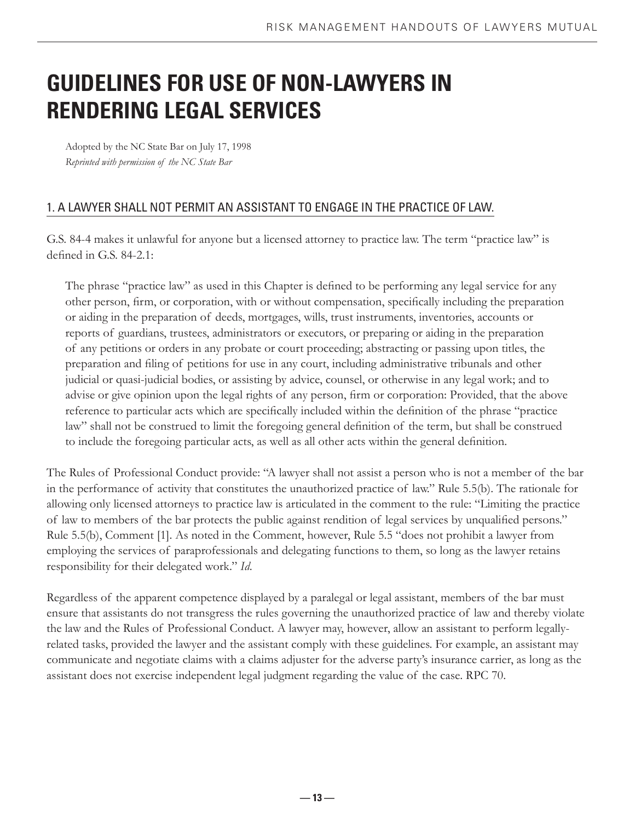# **GUIDELINES FOR USE OF NON-LAWYERS IN RENDERING LEGAL SERVICES**

Adopted by the NC State Bar on July 17, 1998 *Reprinted with permission of the NC State Bar*

#### 1. A LAWYER SHALL NOT PERMIT AN ASSISTANT TO ENGAGE IN THE PRACTICE OF LAW.

G.S. 84-4 makes it unlawful for anyone but a licensed attorney to practice law. The term "practice law" is defined in G.S.  $84-2.1$ :

The phrase "practice law" as used in this Chapter is defined to be performing any legal service for any other person, firm, or corporation, with or without compensation, specifically including the preparation or aiding in the preparation of deeds, mortgages, wills, trust instruments, inventories, accounts or reports of guardians, trustees, administrators or executors, or preparing or aiding in the preparation of any petitions or orders in any probate or court proceeding; abstracting or passing upon titles, the preparation and filing of petitions for use in any court, including administrative tribunals and other judicial or quasi-judicial bodies, or assisting by advice, counsel, or otherwise in any legal work; and to advise or give opinion upon the legal rights of any person, firm or corporation: Provided, that the above reference to particular acts which are specifically included within the definition of the phrase "practice law" shall not be construed to limit the foregoing general definition of the term, but shall be construed to include the foregoing particular acts, as well as all other acts within the general definition.

The Rules of Professional Conduct provide: "A lawyer shall not assist a person who is not a member of the bar in the performance of activity that constitutes the unauthorized practice of law." Rule 5.5(b). The rationale for allowing only licensed attorneys to practice law is articulated in the comment to the rule: "Limiting the practice of law to members of the bar protects the public against rendition of legal services by unqualified persons." Rule 5.5(b), Comment [1]. As noted in the Comment, however, Rule 5.5 "does not prohibit a lawyer from employing the services of paraprofessionals and delegating functions to them, so long as the lawyer retains responsibility for their delegated work." *Id*.

Regardless of the apparent competence displayed by a paralegal or legal assistant, members of the bar must ensure that assistants do not transgress the rules governing the unauthorized practice of law and thereby violate the law and the Rules of Professional Conduct. A lawyer may, however, allow an assistant to perform legallyrelated tasks, provided the lawyer and the assistant comply with these guidelines. For example, an assistant may communicate and negotiate claims with a claims adjuster for the adverse party's insurance carrier, as long as the assistant does not exercise independent legal judgment regarding the value of the case. RPC 70.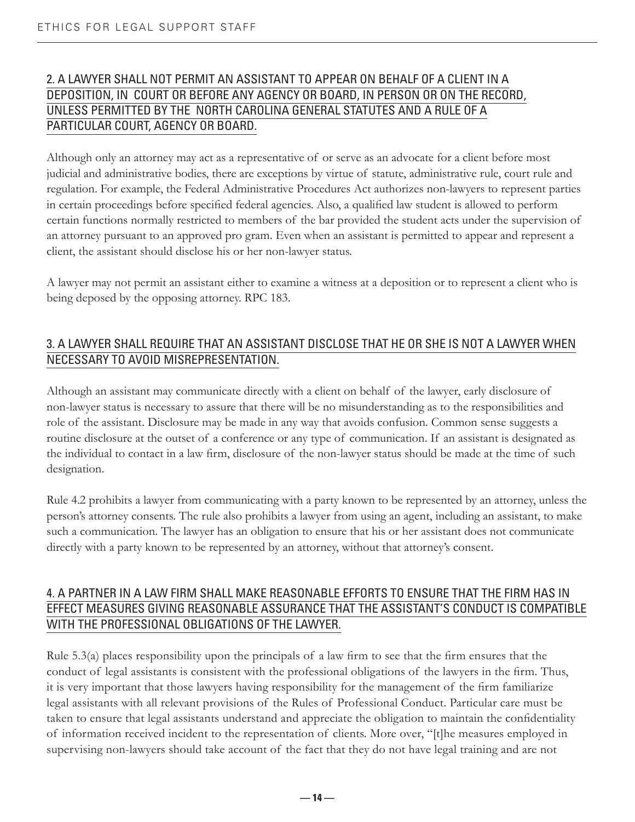#### 2. A LAWYER SHALL NOT PERMIT AN ASSISTANT TO APPEAR ON BEHALF OF A CLIENT IN A DEPOSITION, IN COURT OR BEFORE ANY AGENCY OR BOARD, IN PERSON OR ON THE RECORD, UNLESS PERMITTED BY THE NORTH CAROLINA GENERAL STATUTES AND A RULE OF A PARTICULAR COURT, AGENCY OR BOARD.

Although only an attorney may act as a representative of or serve as an advocate for a client before most judicial and administrative bodies, there are exceptions by virtue of statute, administrative rule, court rule and regulation. For example, the Federal Administrative Procedures Act authorizes non-lawyers to represent parties in certain proceedings before specified federal agencies. Also, a qualified law student is allowed to perform certain functions normally restricted to members of the bar provided the student acts under the supervision of an attorney pursuant to an approved pro gram. Even when an assistant is permitted to appear and represent a client, the assistant should disclose his or her non-lawyer status.

A lawyer may not permit an assistant either to examine a witness at a deposition or to represent a client who is being deposed by the opposing attorney. RPC 183.

#### 3. A LAWYER SHALL REQUIRE THAT AN ASSISTANT DISCLOSE THAT HE OR SHE IS NOT A LAWYER WHEN NECESSARY TO AVOID MISREPRESENTATION.

Although an assistant may communicate directly with a client on behalf of the lawyer, early disclosure of non-lawyer status is necessary to assure that there will be no misunderstanding as to the responsibilities and role of the assistant. Disclosure may be made in any way that avoids confusion. Common sense suggests a routine disclosure at the outset of a conference or any type of communication. If an assistant is designated as the individual to contact in a law firm, disclosure of the non-lawyer status should be made at the time of such designation.

Rule 4.2 prohibits a lawyer from communicating with a party known to be represented by an attorney, unless the person's attorney consents. The rule also prohibits a lawyer from using an agent, including an assistant, to make such a communication. The lawyer has an obligation to ensure that his or her assistant does not communicate directly with a party known to be represented by an attorney, without that attorney's consent.

#### 4. A PARTNER IN A LAW FIRM SHALL MAKE REASONABLE EFFORTS TO ENSURE THAT THE FIRM HAS IN EFFECT MEASURES GIVING REASONABLE ASSURANCE THAT THE ASSISTANT'S CONDUCT IS COMPATIBLE WITH THE PROFESSIONAL OBLIGATIONS OF THE LAWYER.

Rule 5.3(a) places responsibility upon the principals of a law firm to see that the firm ensures that the conduct of legal assistants is consistent with the professional obligations of the lawyers in the firm. Thus, it is very important that those lawyers having responsibility for the management of the firm familiarize legal assistants with all relevant provisions of the Rules of Professional Conduct. Particular care must be taken to ensure that legal assistants understand and appreciate the obligation to maintain the confidentiality of information received incident to the representation of clients. More over, "[t]he measures employed in supervising non-lawyers should take account of the fact that they do not have legal training and are not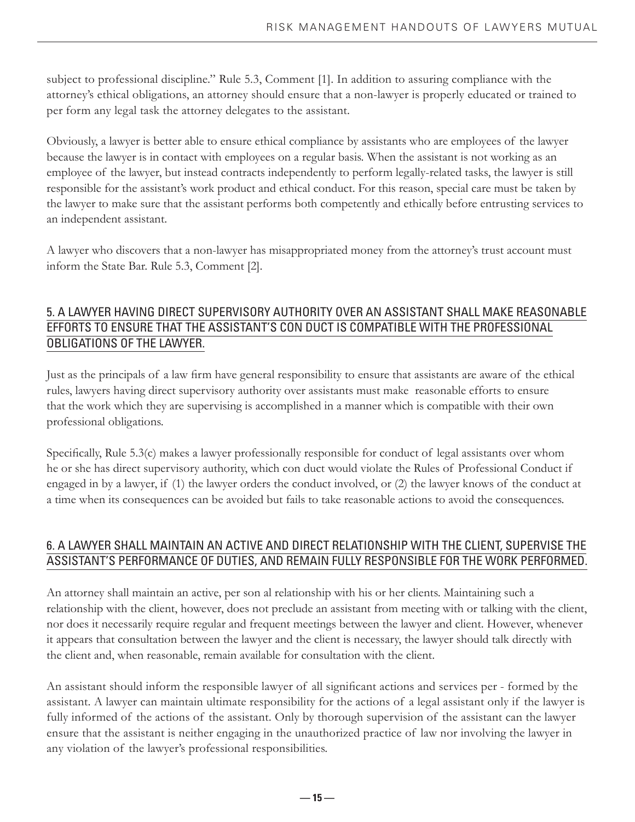subject to professional discipline." Rule 5.3, Comment [1]. In addition to assuring compliance with the attorney's ethical obligations, an attorney should ensure that a non-lawyer is properly educated or trained to per form any legal task the attorney delegates to the assistant.

Obviously, a lawyer is better able to ensure ethical compliance by assistants who are employees of the lawyer because the lawyer is in contact with employees on a regular basis. When the assistant is not working as an employee of the lawyer, but instead contracts independently to perform legally-related tasks, the lawyer is still responsible for the assistant's work product and ethical conduct. For this reason, special care must be taken by the lawyer to make sure that the assistant performs both competently and ethically before entrusting services to an independent assistant.

A lawyer who discovers that a non-lawyer has misappropriated money from the attorney's trust account must inform the State Bar. Rule 5.3, Comment [2].

#### 5. A LAWYER HAVING DIRECT SUPERVISORY AUTHORITY OVER AN ASSISTANT SHALL MAKE REASONABLE EFFORTS TO ENSURE THAT THE ASSISTANT'S CON DUCT IS COMPATIBLE WITH THE PROFESSIONAL OBLIGATIONS OF THE LAWYER.

Just as the principals of a law firm have general responsibility to ensure that assistants are aware of the ethical rules, lawyers having direct supervisory authority over assistants must make reasonable efforts to ensure that the work which they are supervising is accomplished in a manner which is compatible with their own professional obligations.

Specifically, Rule 5.3(c) makes a lawyer professionally responsible for conduct of legal assistants over whom he or she has direct supervisory authority, which con duct would violate the Rules of Professional Conduct if engaged in by a lawyer, if (1) the lawyer orders the conduct involved, or (2) the lawyer knows of the conduct at a time when its consequences can be avoided but fails to take reasonable actions to avoid the consequences.

#### 6. A LAWYER SHALL MAINTAIN AN ACTIVE AND DIRECT RELATIONSHIP WITH THE CLIENT, SUPERVISE THE ASSISTANT'S PERFORMANCE OF DUTIES, AND REMAIN FULLY RESPONSIBLE FOR THE WORK PERFORMED.

An attorney shall maintain an active, per son al relationship with his or her clients. Maintaining such a relationship with the client, however, does not preclude an assistant from meeting with or talking with the client, nor does it necessarily require regular and frequent meetings between the lawyer and client. However, whenever it appears that consultation between the lawyer and the client is necessary, the lawyer should talk directly with the client and, when reasonable, remain available for consultation with the client.

An assistant should inform the responsible lawyer of all significant actions and services per - formed by the assistant. A lawyer can maintain ultimate responsibility for the actions of a legal assistant only if the lawyer is fully informed of the actions of the assistant. Only by thorough supervision of the assistant can the lawyer ensure that the assistant is neither engaging in the unauthorized practice of law nor involving the lawyer in any violation of the lawyer's professional responsibilities.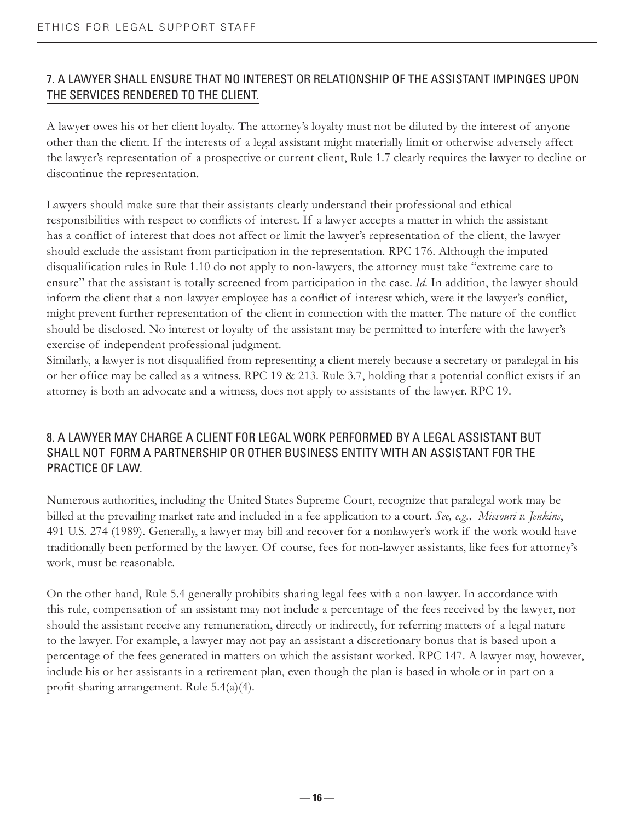#### 7. A LAWYER SHALL ENSURE THAT NO INTEREST OR RELATIONSHIP OF THE ASSISTANT IMPINGES UPON THE SERVICES RENDERED TO THE CLIENT.

A lawyer owes his or her client loyalty. The attorney's loyalty must not be diluted by the interest of anyone other than the client. If the interests of a legal assistant might materially limit or otherwise adversely affect the lawyer's representation of a prospective or current client, Rule 1.7 clearly requires the lawyer to decline or discontinue the representation.

Lawyers should make sure that their assistants clearly understand their professional and ethical responsibilities with respect to conflicts of interest. If a lawyer accepts a matter in which the assistant has a conflict of interest that does not affect or limit the lawyer's representation of the client, the lawyer should exclude the assistant from participation in the representation. RPC 176. Although the imputed disqualification rules in Rule 1.10 do not apply to non-lawyers, the attorney must take "extreme care to ensure" that the assistant is totally screened from participation in the case. *Id*. In addition, the lawyer should inform the client that a non-lawyer employee has a conflict of interest which, were it the lawyer's conflict, might prevent further representation of the client in connection with the matter. The nature of the conflict should be disclosed. No interest or loyalty of the assistant may be permitted to interfere with the lawyer's exercise of independent professional judgment.

Similarly, a lawyer is not disqualified from representing a client merely because a secretary or paralegal in his or her office may be called as a witness. RPC 19 & 213. Rule 3.7, holding that a potential conflict exists if an attorney is both an advocate and a witness, does not apply to assistants of the lawyer. RPC 19.

#### 8. A LAWYER MAY CHARGE A CLIENT FOR LEGAL WORK PERFORMED BY A LEGAL ASSISTANT BUT SHALL NOT FORM A PARTNERSHIP OR OTHER BUSINESS ENTITY WITH AN ASSISTANT FOR THE PRACTICE OF LAW.

Numerous authorities, including the United States Supreme Court, recognize that paralegal work may be billed at the prevailing market rate and included in a fee application to a court. *See, e.g., Missouri v. Jenkins*, 491 U.S. 274 (1989). Generally, a lawyer may bill and recover for a nonlawyer's work if the work would have traditionally been performed by the lawyer. Of course, fees for non-lawyer assistants, like fees for attorney's work, must be reasonable.

On the other hand, Rule 5.4 generally prohibits sharing legal fees with a non-lawyer. In accordance with this rule, compensation of an assistant may not include a percentage of the fees received by the lawyer, nor should the assistant receive any remuneration, directly or indirectly, for referring matters of a legal nature to the lawyer. For example, a lawyer may not pay an assistant a discretionary bonus that is based upon a percentage of the fees generated in matters on which the assistant worked. RPC 147. A lawyer may, however, include his or her assistants in a retirement plan, even though the plan is based in whole or in part on a profit-sharing arrangement. Rule  $5.4(a)(4)$ .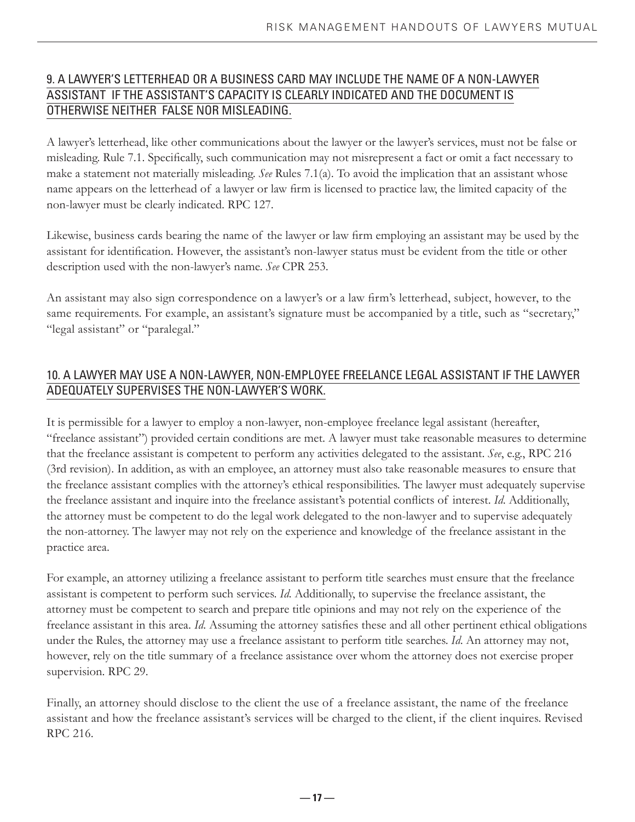#### 9. A LAWYER'S LETTERHEAD OR A BUSINESS CARD MAY INCLUDE THE NAME OF A NON-LAWYER ASSISTANT IF THE ASSISTANT'S CAPACITY IS CLEARLY INDICATED AND THE DOCUMENT IS OTHERWISE NEITHER FALSE NOR MISLEADING.

A lawyer's letterhead, like other communications about the lawyer or the lawyer's services, must not be false or misleading. Rule 7.1. Specifically, such communication may not misrepresent a fact or omit a fact necessary to make a statement not materially misleading. *See* Rules 7.1(a). To avoid the implication that an assistant whose name appears on the letterhead of a lawyer or law firm is licensed to practice law, the limited capacity of the non-lawyer must be clearly indicated. RPC 127.

Likewise, business cards bearing the name of the lawyer or law firm employing an assistant may be used by the assistant for identification. However, the assistant's non-lawyer status must be evident from the title or other description used with the non-lawyer's name. *See* CPR 253.

An assistant may also sign correspondence on a lawyer's or a law firm's letterhead, subject, however, to the same requirements. For example, an assistant's signature must be accompanied by a title, such as "secretary," "legal assistant" or "paralegal."

#### 10. A LAWYER MAY USE A NON-LAWYER, NON-EMPLOYEE FREELANCE LEGAL ASSISTANT IF THE LAWYER ADEQUATELY SUPERVISES THE NON-LAWYER'S WORK.

It is permissible for a lawyer to employ a non-lawyer, non-employee freelance legal assistant (hereafter, "freelance assistant") provided certain conditions are met. A lawyer must take reasonable measures to determine that the freelance assistant is competent to perform any activities delegated to the assistant. *See*, e.g., RPC 216 (3rd revision). In addition, as with an employee, an attorney must also take reasonable measures to ensure that the freelance assistant complies with the attorney's ethical responsibilities. The lawyer must adequately supervise the freelance assistant and inquire into the freelance assistant's potential conflicts of interest. *Id*. Additionally, the attorney must be competent to do the legal work delegated to the non-lawyer and to supervise adequately the non-attorney. The lawyer may not rely on the experience and knowledge of the freelance assistant in the practice area.

For example, an attorney utilizing a freelance assistant to perform title searches must ensure that the freelance assistant is competent to perform such services. *Id*. Additionally, to supervise the freelance assistant, the attorney must be competent to search and prepare title opinions and may not rely on the experience of the freelance assistant in this area. *Id*. Assuming the attorney satisfies these and all other pertinent ethical obligations under the Rules, the attorney may use a freelance assistant to perform title searches. *Id*. An attorney may not, however, rely on the title summary of a freelance assistance over whom the attorney does not exercise proper supervision. RPC 29.

Finally, an attorney should disclose to the client the use of a freelance assistant, the name of the freelance assistant and how the freelance assistant's services will be charged to the client, if the client inquires. Revised RPC 216.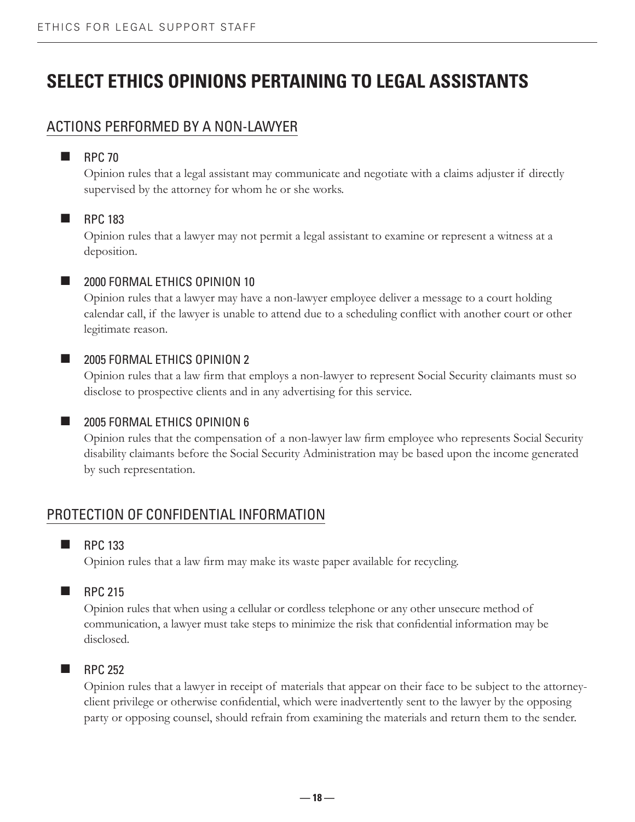# **SELECT ETHICS OPINIONS PERTAINING TO LEGAL ASSISTANTS**

#### ACTIONS PERFORMED BY A NON-LAWYER

#### $RPC 70$

Opinion rules that a legal assistant may communicate and negotiate with a claims adjuster if directly supervised by the attorney for whom he or she works.

#### **RPC** 183

Opinion rules that a lawyer may not permit a legal assistant to examine or represent a witness at a deposition.

#### **2000 FORMAL ETHICS OPINION 10**

Opinion rules that a lawyer may have a non-lawyer employee deliver a message to a court holding calendar call, if the lawyer is unable to attend due to a scheduling conflict with another court or other legitimate reason.

#### **2005 FORMAL ETHICS OPINION 2**

Opinion rules that a law firm that employs a non-lawyer to represent Social Security claimants must so disclose to prospective clients and in any advertising for this service.

#### **2005 FORMAL ETHICS OPINION 6**

Opinion rules that the compensation of a non-lawyer law firm employee who represents Social Security disability claimants before the Social Security Administration may be based upon the income generated by such representation.

#### PROTECTION OF CONFIDENTIAL INFORMATION

#### **RPC** 133

Opinion rules that a law firm may make its waste paper available for recycling.

#### $RPC 215$

Opinion rules that when using a cellular or cordless telephone or any other unsecure method of communication, a lawyer must take steps to minimize the risk that confidential information may be disclosed.

#### $RPC 252$

Opinion rules that a lawyer in receipt of materials that appear on their face to be subject to the attorneyclient privilege or otherwise confidential, which were inadvertently sent to the lawyer by the opposing party or opposing counsel, should refrain from examining the materials and return them to the sender.

 **— 18 —**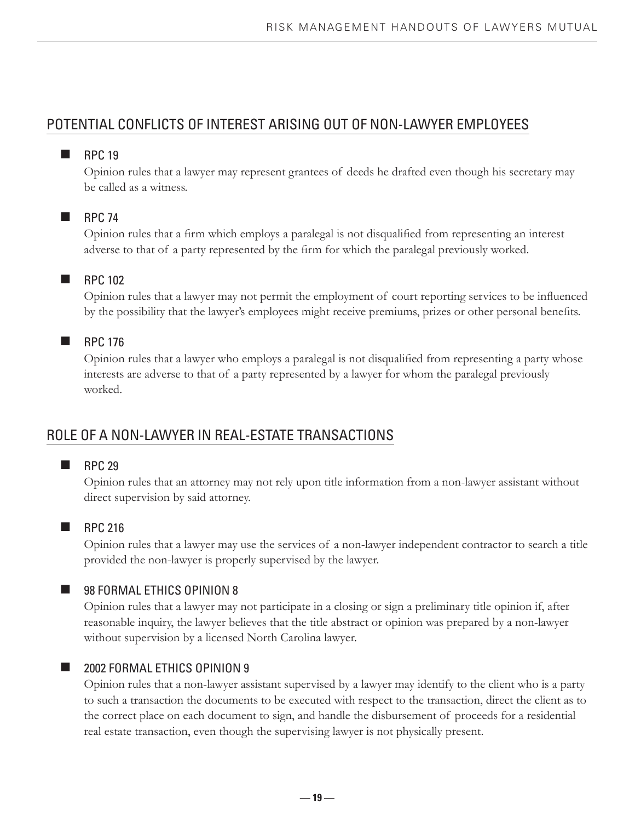### POTENTIAL CONFLICTS OF INTEREST ARISING OUT OF NON-LAWYER EMPLOYEES

#### $RPC 19$

Opinion rules that a lawyer may represent grantees of deeds he drafted even though his secretary may be called as a witness.

#### $RPC 74$

Opinion rules that a firm which employs a paralegal is not disqualified from representing an interest adverse to that of a party represented by the firm for which the paralegal previously worked.

#### **RPC** 102

Opinion rules that a lawyer may not permit the employment of court reporting services to be influenced by the possibility that the lawyer's employees might receive premiums, prizes or other personal benefits.

#### $RPC 176$

Opinion rules that a lawyer who employs a paralegal is not disqualified from representing a party whose interests are adverse to that of a party represented by a lawyer for whom the paralegal previously worked.

### ROLE OF A NON-LAWYER IN REAL-ESTATE TRANSACTIONS

#### $RPC 29$

Opinion rules that an attorney may not rely upon title information from a non-lawyer assistant without direct supervision by said attorney.

#### **RPC 216**

Opinion rules that a lawyer may use the services of a non-lawyer independent contractor to search a title provided the non-lawyer is properly supervised by the lawyer.

#### **98 FORMAL ETHICS OPINION 8**

Opinion rules that a lawyer may not participate in a closing or sign a preliminary title opinion if, after reasonable inquiry, the lawyer believes that the title abstract or opinion was prepared by a non-lawyer without supervision by a licensed North Carolina lawyer.

#### **2002 FORMAL ETHICS OPINION 9**

Opinion rules that a non-lawyer assistant supervised by a lawyer may identify to the client who is a party to such a transaction the documents to be executed with respect to the transaction, direct the client as to the correct place on each document to sign, and handle the disbursement of proceeds for a residential real estate transaction, even though the supervising lawyer is not physically present.

 **— 19 —**